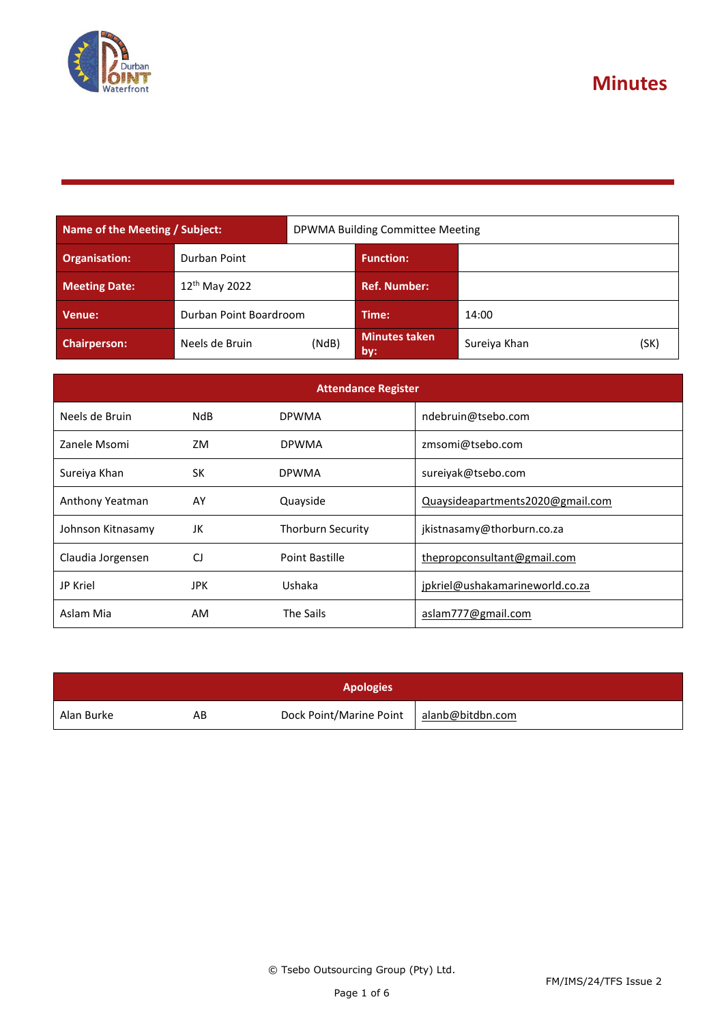

**Minutes**

| Name of the Meeting / Subject: |                           | DPWMA Building Committee Meeting |                              |              |      |
|--------------------------------|---------------------------|----------------------------------|------------------------------|--------------|------|
| <b>Organisation:</b>           | Durban Point              |                                  | <b>Function:</b>             |              |      |
| <b>Meeting Date:</b>           | 12 <sup>th</sup> May 2022 |                                  | <b>Ref. Number:</b>          |              |      |
| Venue:                         | Durban Point Boardroom    |                                  | Time:                        | 14:00        |      |
| <b>Chairperson:</b>            | Neels de Bruin            | (NdB)                            | <b>Minutes taken</b><br>lby: | Sureiya Khan | (SK) |

| <b>Attendance Register</b> |            |                          |                                  |  |
|----------------------------|------------|--------------------------|----------------------------------|--|
| Neels de Bruin             | NdB.       | <b>DPWMA</b>             | ndebruin@tsebo.com               |  |
| Zanele Msomi               | ZM         | <b>DPWMA</b>             | zmsomi@tsebo.com                 |  |
| Sureiya Khan               | <b>SK</b>  | <b>DPWMA</b>             | sureiyak@tsebo.com               |  |
| Anthony Yeatman            | AY         | Quayside                 | Quaysideapartments2020@gmail.com |  |
| Johnson Kitnasamy          | JK         | <b>Thorburn Security</b> | jkistnasamy@thorburn.co.za       |  |
| Claudia Jorgensen          | CJ         | Point Bastille           | thepropconsultant@gmail.com      |  |
| JP Kriel                   | <b>JPK</b> | Ushaka                   | jpkriel@ushakamarineworld.co.za  |  |
| Aslam Mia                  | AM         | The Sails                | aslam777@gmail.com               |  |

| <b>Apologies</b> |    |                         |                  |  |
|------------------|----|-------------------------|------------------|--|
| Alan Burke       | AB | Dock Point/Marine Point | alanb@bitdbn.com |  |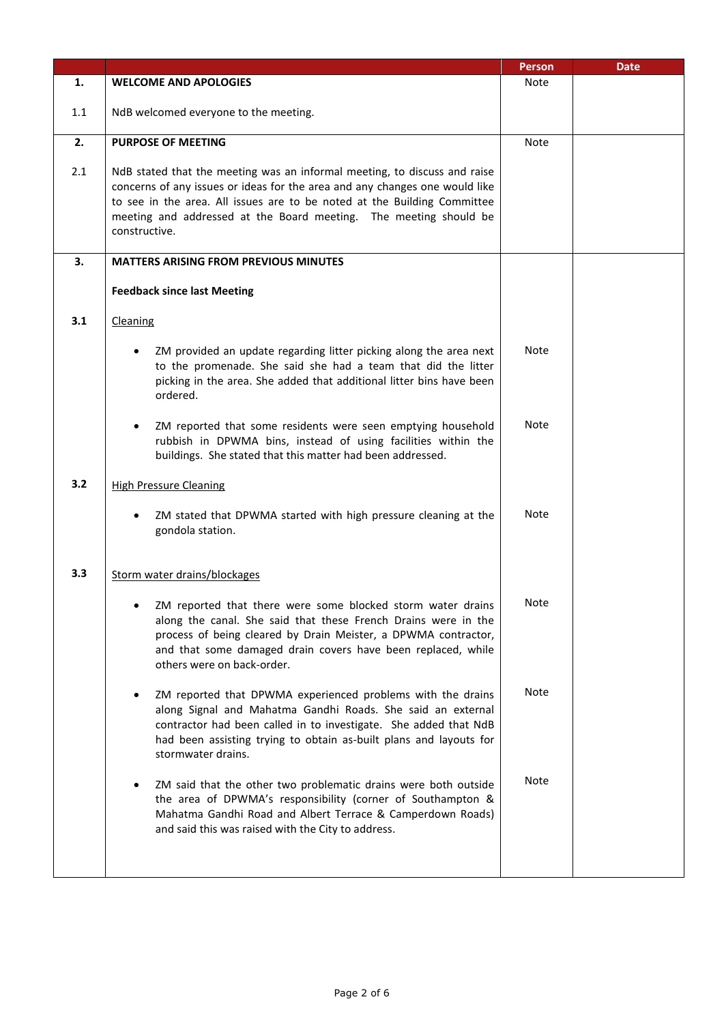|     |                                                                                                                                                                                                                                                                                                                            | <b>Person</b> | <b>Date</b> |
|-----|----------------------------------------------------------------------------------------------------------------------------------------------------------------------------------------------------------------------------------------------------------------------------------------------------------------------------|---------------|-------------|
| 1.  | <b>WELCOME AND APOLOGIES</b>                                                                                                                                                                                                                                                                                               | <b>Note</b>   |             |
| 1.1 | NdB welcomed everyone to the meeting.                                                                                                                                                                                                                                                                                      |               |             |
| 2.  | <b>PURPOSE OF MEETING</b>                                                                                                                                                                                                                                                                                                  | Note          |             |
| 2.1 | NdB stated that the meeting was an informal meeting, to discuss and raise<br>concerns of any issues or ideas for the area and any changes one would like<br>to see in the area. All issues are to be noted at the Building Committee<br>meeting and addressed at the Board meeting. The meeting should be<br>constructive. |               |             |
| 3.  | <b>MATTERS ARISING FROM PREVIOUS MINUTES</b>                                                                                                                                                                                                                                                                               |               |             |
|     | <b>Feedback since last Meeting</b>                                                                                                                                                                                                                                                                                         |               |             |
| 3.1 | Cleaning                                                                                                                                                                                                                                                                                                                   |               |             |
|     | ZM provided an update regarding litter picking along the area next<br>to the promenade. She said she had a team that did the litter<br>picking in the area. She added that additional litter bins have been<br>ordered.                                                                                                    | Note          |             |
|     | ZM reported that some residents were seen emptying household<br>rubbish in DPWMA bins, instead of using facilities within the<br>buildings. She stated that this matter had been addressed.                                                                                                                                | <b>Note</b>   |             |
| 3.2 | <b>High Pressure Cleaning</b>                                                                                                                                                                                                                                                                                              |               |             |
|     | ZM stated that DPWMA started with high pressure cleaning at the<br>gondola station.                                                                                                                                                                                                                                        | Note          |             |
| 3.3 | Storm water drains/blockages                                                                                                                                                                                                                                                                                               |               |             |
|     | ZM reported that there were some blocked storm water drains<br>along the canal. She said that these French Drains were in the<br>process of being cleared by Drain Meister, a DPWMA contractor,<br>and that some damaged drain covers have been replaced, while<br>others were on back-order.                              | Note          |             |
|     | ZM reported that DPWMA experienced problems with the drains<br>along Signal and Mahatma Gandhi Roads. She said an external<br>contractor had been called in to investigate. She added that NdB<br>had been assisting trying to obtain as-built plans and layouts for<br>stormwater drains.                                 | Note          |             |
|     | ZM said that the other two problematic drains were both outside<br>the area of DPWMA's responsibility (corner of Southampton &<br>Mahatma Gandhi Road and Albert Terrace & Camperdown Roads)<br>and said this was raised with the City to address.                                                                         | Note          |             |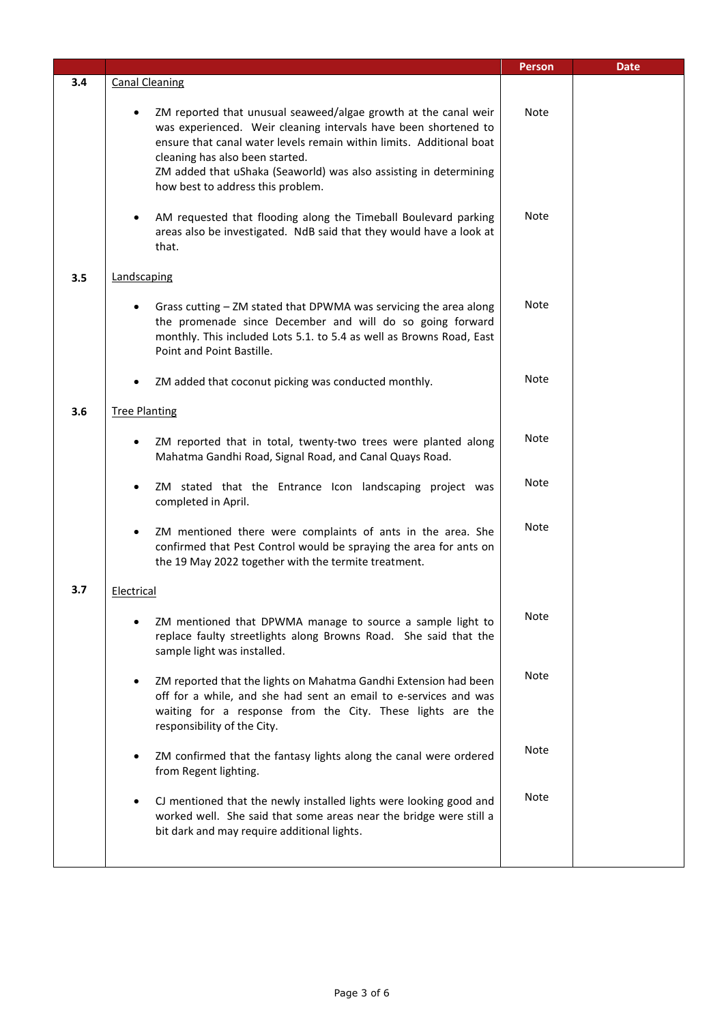|     |                                                                                                                                                                                                                                                                                                                                                         | <b>Person</b> | <b>Date</b> |
|-----|---------------------------------------------------------------------------------------------------------------------------------------------------------------------------------------------------------------------------------------------------------------------------------------------------------------------------------------------------------|---------------|-------------|
| 3.4 | <b>Canal Cleaning</b>                                                                                                                                                                                                                                                                                                                                   |               |             |
|     | ZM reported that unusual seaweed/algae growth at the canal weir<br>was experienced. Weir cleaning intervals have been shortened to<br>ensure that canal water levels remain within limits. Additional boat<br>cleaning has also been started.<br>ZM added that uShaka (Seaworld) was also assisting in determining<br>how best to address this problem. | <b>Note</b>   |             |
|     | AM requested that flooding along the Timeball Boulevard parking<br>areas also be investigated. NdB said that they would have a look at<br>that.                                                                                                                                                                                                         | Note          |             |
| 3.5 | Landscaping                                                                                                                                                                                                                                                                                                                                             |               |             |
|     | Grass cutting - ZM stated that DPWMA was servicing the area along<br>the promenade since December and will do so going forward<br>monthly. This included Lots 5.1. to 5.4 as well as Browns Road, East<br>Point and Point Bastille.                                                                                                                     | Note          |             |
|     | ZM added that coconut picking was conducted monthly.                                                                                                                                                                                                                                                                                                    | Note          |             |
| 3.6 | <b>Tree Planting</b>                                                                                                                                                                                                                                                                                                                                    |               |             |
|     | ZM reported that in total, twenty-two trees were planted along<br>Mahatma Gandhi Road, Signal Road, and Canal Quays Road.                                                                                                                                                                                                                               | Note          |             |
|     | ZM stated that the Entrance Icon landscaping project was<br>$\bullet$<br>completed in April.                                                                                                                                                                                                                                                            | Note          |             |
|     | ZM mentioned there were complaints of ants in the area. She<br>$\bullet$<br>confirmed that Pest Control would be spraying the area for ants on<br>the 19 May 2022 together with the termite treatment.                                                                                                                                                  | Note          |             |
| 3.7 | Electrical                                                                                                                                                                                                                                                                                                                                              |               |             |
|     | ZM mentioned that DPWMA manage to source a sample light to<br>replace faulty streetlights along Browns Road. She said that the<br>sample light was installed.                                                                                                                                                                                           | Note          |             |
|     | ZM reported that the lights on Mahatma Gandhi Extension had been<br>off for a while, and she had sent an email to e-services and was<br>waiting for a response from the City. These lights are the<br>responsibility of the City.                                                                                                                       | <b>Note</b>   |             |
|     | ZM confirmed that the fantasy lights along the canal were ordered<br>from Regent lighting.                                                                                                                                                                                                                                                              | <b>Note</b>   |             |
|     | CJ mentioned that the newly installed lights were looking good and<br>$\bullet$<br>worked well. She said that some areas near the bridge were still a<br>bit dark and may require additional lights.                                                                                                                                                    | <b>Note</b>   |             |
|     |                                                                                                                                                                                                                                                                                                                                                         |               |             |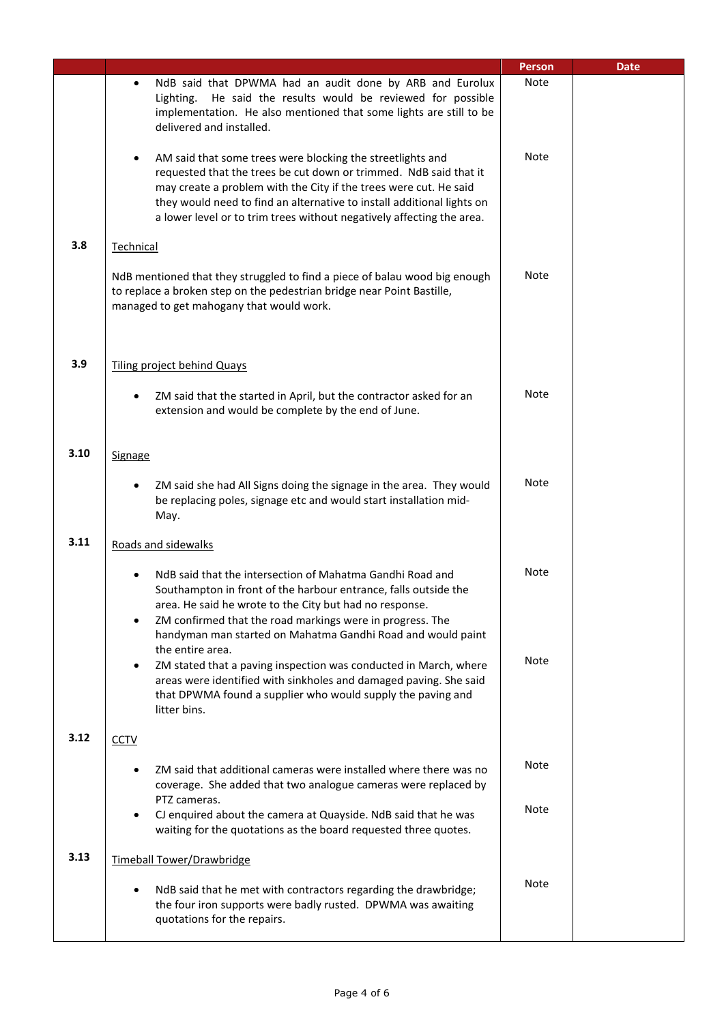|      |                                                                                                                                                                                                                                                                                                                                                                      | <b>Person</b> | <b>Date</b> |
|------|----------------------------------------------------------------------------------------------------------------------------------------------------------------------------------------------------------------------------------------------------------------------------------------------------------------------------------------------------------------------|---------------|-------------|
|      | NdB said that DPWMA had an audit done by ARB and Eurolux<br>$\bullet$<br>He said the results would be reviewed for possible<br>Lighting.<br>implementation. He also mentioned that some lights are still to be<br>delivered and installed.                                                                                                                           | Note          |             |
|      | AM said that some trees were blocking the streetlights and<br>$\bullet$<br>requested that the trees be cut down or trimmed. NdB said that it<br>may create a problem with the City if the trees were cut. He said<br>they would need to find an alternative to install additional lights on<br>a lower level or to trim trees without negatively affecting the area. | <b>Note</b>   |             |
| 3.8  | Technical                                                                                                                                                                                                                                                                                                                                                            |               |             |
|      | NdB mentioned that they struggled to find a piece of balau wood big enough<br>to replace a broken step on the pedestrian bridge near Point Bastille,<br>managed to get mahogany that would work.                                                                                                                                                                     | <b>Note</b>   |             |
|      |                                                                                                                                                                                                                                                                                                                                                                      |               |             |
| 3.9  | <b>Tiling project behind Quays</b>                                                                                                                                                                                                                                                                                                                                   |               |             |
|      | ZM said that the started in April, but the contractor asked for an<br>$\bullet$<br>extension and would be complete by the end of June.                                                                                                                                                                                                                               | Note          |             |
| 3.10 | Signage                                                                                                                                                                                                                                                                                                                                                              |               |             |
|      | ZM said she had All Signs doing the signage in the area. They would<br>$\bullet$<br>be replacing poles, signage etc and would start installation mid-<br>May.                                                                                                                                                                                                        | Note          |             |
| 3.11 | Roads and sidewalks                                                                                                                                                                                                                                                                                                                                                  |               |             |
|      | NdB said that the intersection of Mahatma Gandhi Road and<br>Southampton in front of the harbour entrance, falls outside the<br>area. He said he wrote to the City but had no response.<br>ZM confirmed that the road markings were in progress. The<br>$\bullet$<br>handyman man started on Mahatma Gandhi Road and would paint<br>the entire area.                 | Note          |             |
|      | ZM stated that a paving inspection was conducted in March, where<br>$\bullet$<br>areas were identified with sinkholes and damaged paving. She said<br>that DPWMA found a supplier who would supply the paving and<br>litter bins.                                                                                                                                    | <b>Note</b>   |             |
| 3.12 | <b>CCTV</b>                                                                                                                                                                                                                                                                                                                                                          |               |             |
|      | ZM said that additional cameras were installed where there was no<br>coverage. She added that two analogue cameras were replaced by<br>PTZ cameras.                                                                                                                                                                                                                  | <b>Note</b>   |             |
|      | CJ enquired about the camera at Quayside. NdB said that he was<br>$\bullet$<br>waiting for the quotations as the board requested three quotes.                                                                                                                                                                                                                       | <b>Note</b>   |             |
| 3.13 | Timeball Tower/Drawbridge                                                                                                                                                                                                                                                                                                                                            |               |             |
|      | NdB said that he met with contractors regarding the drawbridge;<br>$\bullet$<br>the four iron supports were badly rusted. DPWMA was awaiting<br>quotations for the repairs.                                                                                                                                                                                          | <b>Note</b>   |             |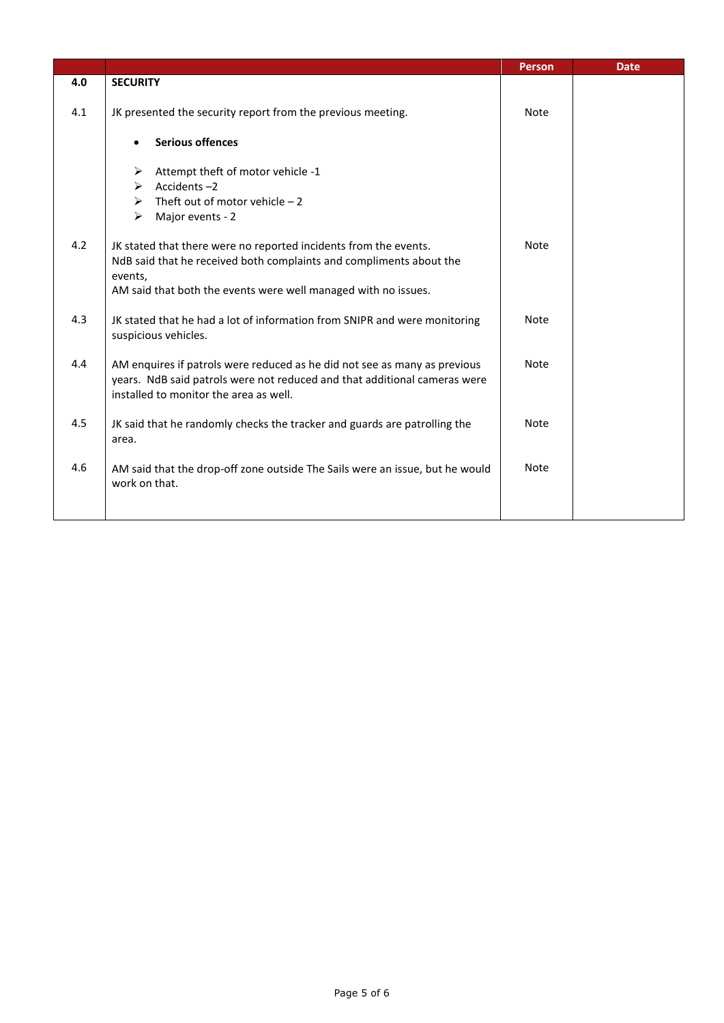|     |                                                                                                                                                                                                                      | <b>Person</b> | <b>Date</b> |
|-----|----------------------------------------------------------------------------------------------------------------------------------------------------------------------------------------------------------------------|---------------|-------------|
| 4.0 | <b>SECURITY</b>                                                                                                                                                                                                      |               |             |
| 4.1 | JK presented the security report from the previous meeting.                                                                                                                                                          | <b>Note</b>   |             |
|     | <b>Serious offences</b>                                                                                                                                                                                              |               |             |
|     | Attempt theft of motor vehicle -1<br>➤<br>Accidents-2<br>≻<br>$\triangleright$ Theft out of motor vehicle - 2<br>$\blacktriangleright$<br>Major events - 2                                                           |               |             |
| 4.2 | JK stated that there were no reported incidents from the events.<br>NdB said that he received both complaints and compliments about the<br>events,<br>AM said that both the events were well managed with no issues. | Note          |             |
| 4.3 | JK stated that he had a lot of information from SNIPR and were monitoring<br>suspicious vehicles.                                                                                                                    | <b>Note</b>   |             |
| 4.4 | AM enquires if patrols were reduced as he did not see as many as previous<br>years. NdB said patrols were not reduced and that additional cameras were<br>installed to monitor the area as well.                     | <b>Note</b>   |             |
| 4.5 | JK said that he randomly checks the tracker and guards are patrolling the<br>area.                                                                                                                                   | <b>Note</b>   |             |
| 4.6 | AM said that the drop-off zone outside The Sails were an issue, but he would<br>work on that.                                                                                                                        | <b>Note</b>   |             |
|     |                                                                                                                                                                                                                      |               |             |